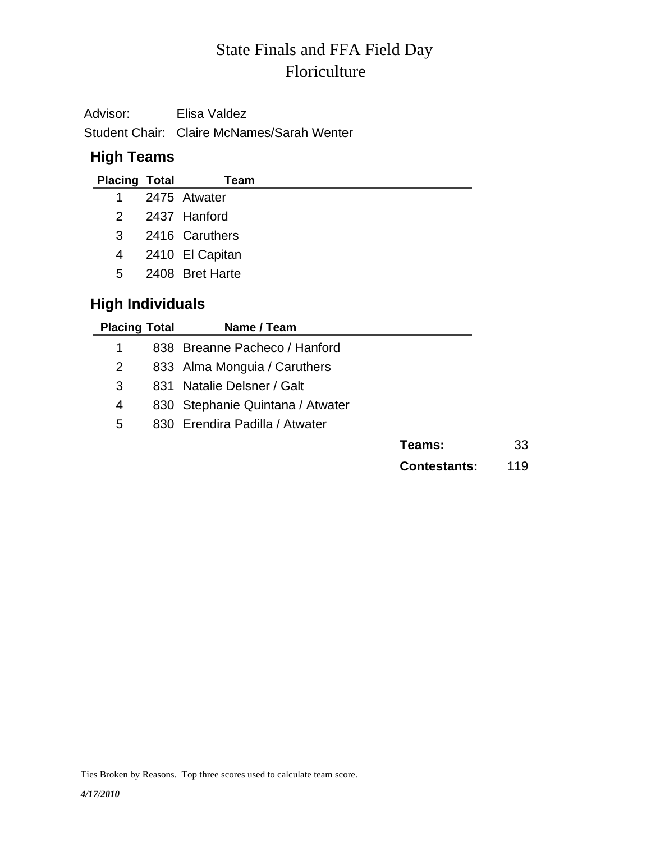# Floriculture State Finals and FFA Field Day

Advisor: Elisa Valdez Student Chair: Claire McNames/Sarah Wenter

### **High Teams**

| <b>Placing Total</b> | Team              |
|----------------------|-------------------|
|                      | 1 2475 Atwater    |
|                      | 2 2437 Hanford    |
| $3 -$                | 2416 Caruthers    |
|                      | 4 2410 El Capitan |
| 5                    | 2408 Bret Harte   |

## **High Individuals**

| <b>Placing Total</b> | Name / Team                      |                     |     |
|----------------------|----------------------------------|---------------------|-----|
|                      | 838 Breanne Pacheco / Hanford    |                     |     |
| 2                    | 833 Alma Monguia / Caruthers     |                     |     |
| 3                    | 831 Natalie Delsner / Galt       |                     |     |
| 4                    | 830 Stephanie Quintana / Atwater |                     |     |
| 5                    | 830 Erendira Padilla / Atwater   |                     |     |
|                      |                                  | Teams:              | 33  |
|                      |                                  | <b>Contestants:</b> | 119 |

Ties Broken by Reasons. Top three scores used to calculate team score.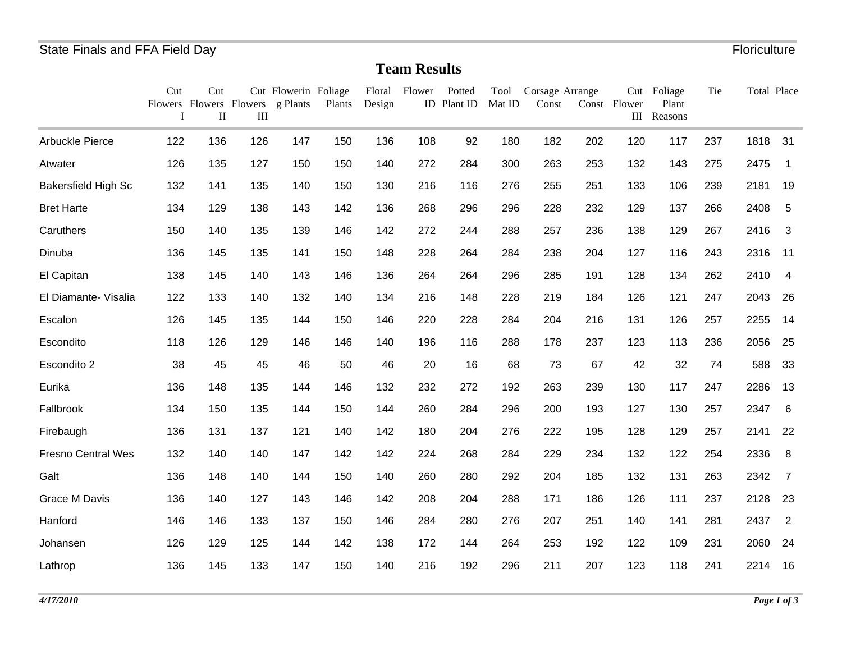#### **Team Results**

|                            | Cut<br>$\mathbf{I}$ | Cut<br>$\mathbf{I}$ | Ш   | Cut Flowerin Foliage<br>Flowers Flowers Flowers g Plants | Plants | Design | Floral Flower | Potted<br>ID Plant ID | Mat ID | Tool Corsage Arrange<br>Const |     | Const Flower | Cut Foliage<br>Plant<br>III Reasons | Tie | Total Place |                |
|----------------------------|---------------------|---------------------|-----|----------------------------------------------------------|--------|--------|---------------|-----------------------|--------|-------------------------------|-----|--------------|-------------------------------------|-----|-------------|----------------|
| Arbuckle Pierce            | 122                 | 136                 | 126 | 147                                                      | 150    | 136    | 108           | 92                    | 180    | 182                           | 202 | 120          | 117                                 | 237 | 1818        | 31             |
| Atwater                    | 126                 | 135                 | 127 | 150                                                      | 150    | 140    | 272           | 284                   | 300    | 263                           | 253 | 132          | 143                                 | 275 | 2475        | $\mathbf{1}$   |
| <b>Bakersfield High Sc</b> | 132                 | 141                 | 135 | 140                                                      | 150    | 130    | 216           | 116                   | 276    | 255                           | 251 | 133          | 106                                 | 239 | 2181        | 19             |
| <b>Bret Harte</b>          | 134                 | 129                 | 138 | 143                                                      | 142    | 136    | 268           | 296                   | 296    | 228                           | 232 | 129          | 137                                 | 266 | 2408        | 5              |
| Caruthers                  | 150                 | 140                 | 135 | 139                                                      | 146    | 142    | 272           | 244                   | 288    | 257                           | 236 | 138          | 129                                 | 267 | 2416        | $\mathbf{3}$   |
| Dinuba                     | 136                 | 145                 | 135 | 141                                                      | 150    | 148    | 228           | 264                   | 284    | 238                           | 204 | 127          | 116                                 | 243 | 2316        | 11             |
| El Capitan                 | 138                 | 145                 | 140 | 143                                                      | 146    | 136    | 264           | 264                   | 296    | 285                           | 191 | 128          | 134                                 | 262 | 2410        | $\overline{4}$ |
| El Diamante- Visalia       | 122                 | 133                 | 140 | 132                                                      | 140    | 134    | 216           | 148                   | 228    | 219                           | 184 | 126          | 121                                 | 247 | 2043        | 26             |
| Escalon                    | 126                 | 145                 | 135 | 144                                                      | 150    | 146    | 220           | 228                   | 284    | 204                           | 216 | 131          | 126                                 | 257 | 2255        | 14             |
| Escondito                  | 118                 | 126                 | 129 | 146                                                      | 146    | 140    | 196           | 116                   | 288    | 178                           | 237 | 123          | 113                                 | 236 | 2056        | 25             |
| Escondito 2                | 38                  | 45                  | 45  | 46                                                       | 50     | 46     | 20            | 16                    | 68     | 73                            | 67  | 42           | 32                                  | 74  | 588         | 33             |
| Eurika                     | 136                 | 148                 | 135 | 144                                                      | 146    | 132    | 232           | 272                   | 192    | 263                           | 239 | 130          | 117                                 | 247 | 2286        | 13             |
| Fallbrook                  | 134                 | 150                 | 135 | 144                                                      | 150    | 144    | 260           | 284                   | 296    | 200                           | 193 | 127          | 130                                 | 257 | 2347        | 6              |
| Firebaugh                  | 136                 | 131                 | 137 | 121                                                      | 140    | 142    | 180           | 204                   | 276    | 222                           | 195 | 128          | 129                                 | 257 | 2141        | 22             |
| <b>Fresno Central Wes</b>  | 132                 | 140                 | 140 | 147                                                      | 142    | 142    | 224           | 268                   | 284    | 229                           | 234 | 132          | 122                                 | 254 | 2336        | 8              |
| Galt                       | 136                 | 148                 | 140 | 144                                                      | 150    | 140    | 260           | 280                   | 292    | 204                           | 185 | 132          | 131                                 | 263 | 2342        | $\overline{7}$ |
| <b>Grace M Davis</b>       | 136                 | 140                 | 127 | 143                                                      | 146    | 142    | 208           | 204                   | 288    | 171                           | 186 | 126          | 111                                 | 237 | 2128        | 23             |
| Hanford                    | 146                 | 146                 | 133 | 137                                                      | 150    | 146    | 284           | 280                   | 276    | 207                           | 251 | 140          | 141                                 | 281 | 2437        | $\overline{2}$ |
| Johansen                   | 126                 | 129                 | 125 | 144                                                      | 142    | 138    | 172           | 144                   | 264    | 253                           | 192 | 122          | 109                                 | 231 | 2060        | 24             |
| Lathrop                    | 136                 | 145                 | 133 | 147                                                      | 150    | 140    | 216           | 192                   | 296    | 211                           | 207 | 123          | 118                                 | 241 | 2214        | 16             |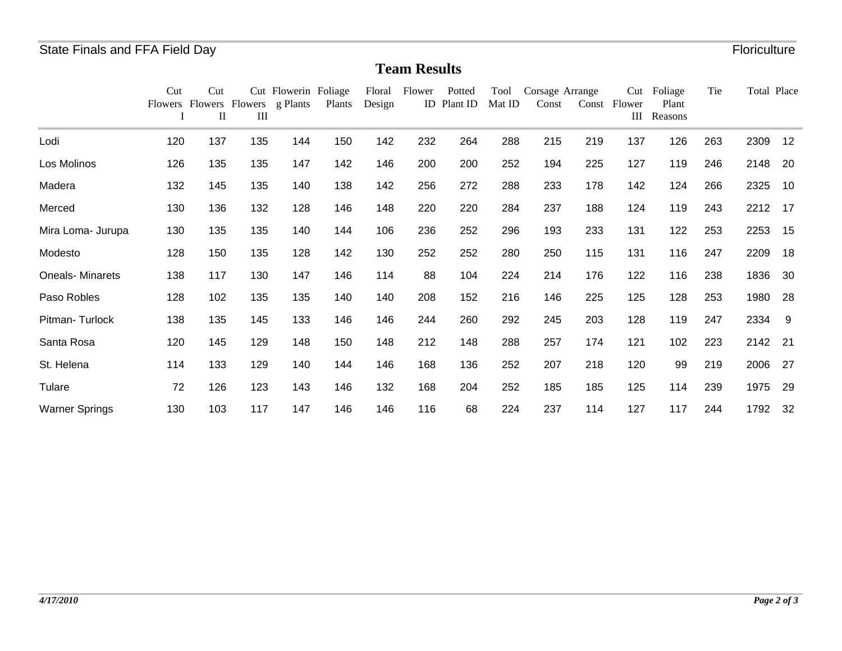#### **Team Results**

|                        | Cut | Cut<br>П | Ш   | Cut Flowerin Foliage<br>Flowers Flowers g Plants | Plants | Floral<br>Design | Flower | Potted<br>ID Plant ID | Tool<br>Mat ID | Corsage Arrange<br>Const | Const | Cut<br>Flower<br>Ш | Foliage<br>Plant<br>Reasons | Tie | Total Place |     |
|------------------------|-----|----------|-----|--------------------------------------------------|--------|------------------|--------|-----------------------|----------------|--------------------------|-------|--------------------|-----------------------------|-----|-------------|-----|
| Lodi                   | 120 | 137      | 135 | 144                                              | 150    | 142              | 232    | 264                   | 288            | 215                      | 219   | 137                | 126                         | 263 | 2309        | 12  |
| Los Molinos            | 126 | 135      | 135 | 147                                              | 142    | 146              | 200    | 200                   | 252            | 194                      | 225   | 127                | 119                         | 246 | 2148        | 20  |
| Madera                 | 132 | 145      | 135 | 140                                              | 138    | 142              | 256    | 272                   | 288            | 233                      | 178   | 142                | 124                         | 266 | 2325        | 10  |
| Merced                 | 130 | 136      | 132 | 128                                              | 146    | 148              | 220    | 220                   | 284            | 237                      | 188   | 124                | 119                         | 243 | 2212        | 17  |
| Mira Loma- Jurupa      | 130 | 135      | 135 | 140                                              | 144    | 106              | 236    | 252                   | 296            | 193                      | 233   | 131                | 122                         | 253 | 2253        | 15  |
| Modesto                | 128 | 150      | 135 | 128                                              | 142    | 130              | 252    | 252                   | 280            | 250                      | 115   | 131                | 116                         | 247 | 2209        | 18  |
| <b>Oneals-Minarets</b> | 138 | 117      | 130 | 147                                              | 146    | 114              | 88     | 104                   | 224            | 214                      | 176   | 122                | 116                         | 238 | 1836        | 30  |
| Paso Robles            | 128 | 102      | 135 | 135                                              | 140    | 140              | 208    | 152                   | 216            | 146                      | 225   | 125                | 128                         | 253 | 1980        | 28  |
| Pitman-Turlock         | 138 | 135      | 145 | 133                                              | 146    | 146              | 244    | 260                   | 292            | 245                      | 203   | 128                | 119                         | 247 | 2334        | -9  |
| Santa Rosa             | 120 | 145      | 129 | 148                                              | 150    | 148              | 212    | 148                   | 288            | 257                      | 174   | 121                | 102                         | 223 | 2142        | -21 |
| St. Helena             | 114 | 133      | 129 | 140                                              | 144    | 146              | 168    | 136                   | 252            | 207                      | 218   | 120                | 99                          | 219 | 2006        | 27  |
| Tulare                 | 72  | 126      | 123 | 143                                              | 146    | 132              | 168    | 204                   | 252            | 185                      | 185   | 125                | 114                         | 239 | 1975        | 29  |
| <b>Warner Springs</b>  | 130 | 103      | 117 | 147                                              | 146    | 146              | 116    | 68                    | 224            | 237                      | 114   | 127                | 117                         | 244 | 1792        | 32  |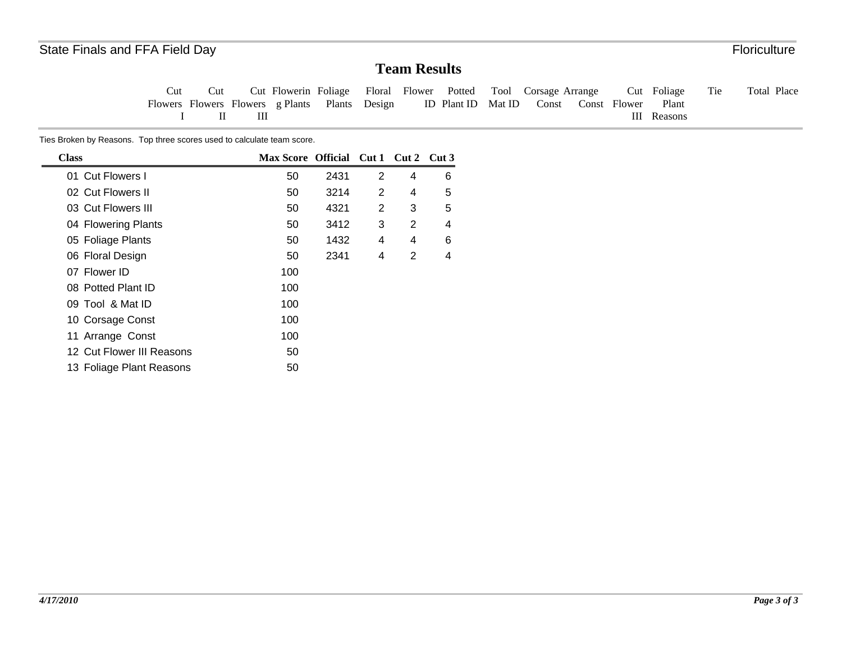### **Team Results**

Tie Total Place Cut Flowers Flowers Flowers g Plants Plants Design ICut IICut Flowerin Foliage III Floral Flower Potted ID Plant ID Mat ID Const Const Flower Tool Corsage Arrange Cut Foliage III Reasons Plant

Ties Broken by Reasons. Top three scores used to calculate team score.

| <b>Class</b>              | Max Score Official Cut 1 Cut 2 Cut 3 |      |   |   |   |
|---------------------------|--------------------------------------|------|---|---|---|
| 01 Cut Flowers I          | 50                                   | 2431 | 2 | 4 | 6 |
| 02 Cut Flowers II         | 50                                   | 3214 | 2 | 4 | 5 |
| 03 Cut Flowers III        | 50                                   | 4321 | 2 | 3 | 5 |
| 04 Flowering Plants       | 50                                   | 3412 | 3 | 2 | 4 |
| 05 Foliage Plants         | 50                                   | 1432 | 4 | 4 | 6 |
| 06 Floral Design          | 50                                   | 2341 | 4 | 2 | 4 |
| 07 Flower ID              | 100                                  |      |   |   |   |
| 08 Potted Plant ID        | 100                                  |      |   |   |   |
| 09 Tool & Mat ID          | 100                                  |      |   |   |   |
| 10 Corsage Const          | 100                                  |      |   |   |   |
| 11 Arrange Const          | 100                                  |      |   |   |   |
| 12 Cut Flower III Reasons | 50                                   |      |   |   |   |
| 13 Foliage Plant Reasons  | 50                                   |      |   |   |   |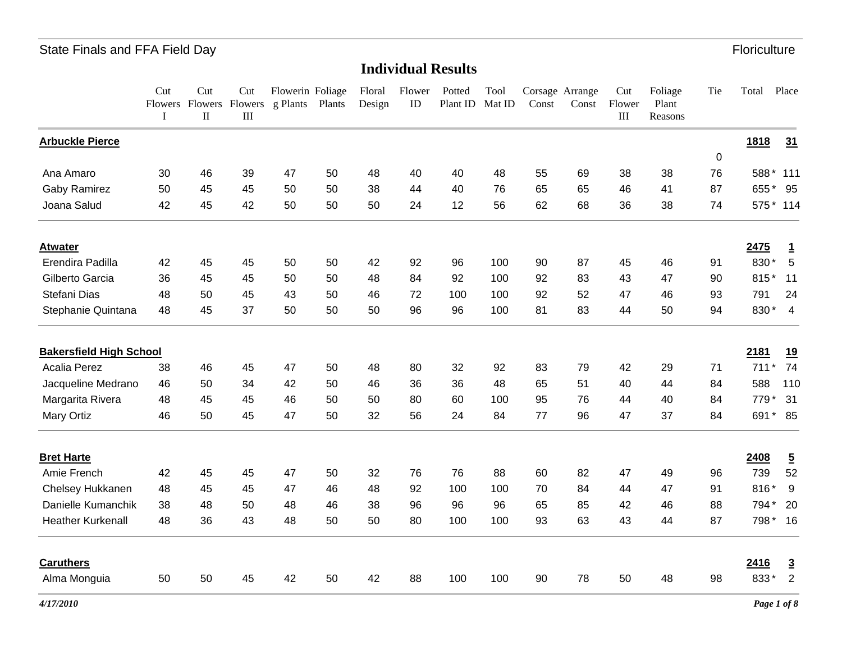|                                | Cut<br>I | Cut<br>Flowers Flowers Flowers<br>$\rm II$ | Cut<br>III | Flowerin Foliage<br>g Plants | Plants | Floral<br>Design | Flower<br>ID | Potted<br>Plant ID | Tool<br>Mat ID | Const | Corsage Arrange<br>Const | Cut<br>Flower<br>$\rm III$ | Foliage<br>Plant<br>Reasons | Tie | Total     | Place          |
|--------------------------------|----------|--------------------------------------------|------------|------------------------------|--------|------------------|--------------|--------------------|----------------|-------|--------------------------|----------------------------|-----------------------------|-----|-----------|----------------|
| <b>Arbuckle Pierce</b>         |          |                                            |            |                              |        |                  |              |                    |                |       |                          |                            |                             |     | 1818      | 31             |
|                                |          |                                            |            |                              |        |                  |              |                    |                |       |                          |                            |                             | 0   |           |                |
| Ana Amaro                      | 30       | 46                                         | 39         | 47                           | 50     | 48               | 40           | 40                 | 48             | 55    | 69                       | 38                         | 38                          | 76  | 588*      | 111            |
| <b>Gaby Ramirez</b>            | 50       | 45                                         | 45         | 50                           | 50     | 38               | 44           | 40                 | 76             | 65    | 65                       | 46                         | 41                          | 87  | 655       | 95             |
| Joana Salud                    | 42       | 45                                         | 42         | 50                           | 50     | 50               | 24           | 12                 | 56             | 62    | 68                       | 36                         | 38                          | 74  | 575 * 114 |                |
| <b>Atwater</b>                 |          |                                            |            |                              |        |                  |              |                    |                |       |                          |                            |                             |     | 2475      | $\mathbf{1}$   |
| Erendira Padilla               | 42       | 45                                         | 45         | 50                           | 50     | 42               | 92           | 96                 | 100            | 90    | 87                       | 45                         | 46                          | 91  | 830*      | 5              |
| Gilberto Garcia                | 36       | 45                                         | 45         | 50                           | 50     | 48               | 84           | 92                 | 100            | 92    | 83                       | 43                         | 47                          | 90  | 815*      | 11             |
| Stefani Dias                   | 48       | 50                                         | 45         | 43                           | 50     | 46               | 72           | 100                | 100            | 92    | 52                       | 47                         | 46                          | 93  | 791       | 24             |
| Stephanie Quintana             | 48       | 45                                         | 37         | 50                           | 50     | 50               | 96           | 96                 | 100            | 81    | 83                       | 44                         | 50                          | 94  | 830*      | $\overline{4}$ |
| <b>Bakersfield High School</b> |          |                                            |            |                              |        |                  |              |                    |                |       |                          |                            |                             |     | 2181      | <u>19</u>      |
| Acalia Perez                   | 38       | 46                                         | 45         | 47                           | 50     | 48               | 80           | 32                 | 92             | 83    | 79                       | 42                         | 29                          | 71  | 711       | 74             |
| Jacqueline Medrano             | 46       | 50                                         | 34         | 42                           | 50     | 46               | 36           | 36                 | 48             | 65    | 51                       | 40                         | 44                          | 84  | 588       | 110            |
| Margarita Rivera               | 48       | 45                                         | 45         | 46                           | 50     | 50               | 80           | 60                 | 100            | 95    | 76                       | 44                         | 40                          | 84  | 779       | 31             |
| Mary Ortiz                     | 46       | 50                                         | 45         | 47                           | 50     | 32               | 56           | 24                 | 84             | 77    | 96                       | 47                         | 37                          | 84  | 691       | $* 85$         |
| <b>Bret Harte</b>              |          |                                            |            |                              |        |                  |              |                    |                |       |                          |                            |                             |     | 2408      | $\overline{5}$ |
| Amie French                    | 42       | 45                                         | 45         | 47                           | 50     | 32               | 76           | 76                 | 88             | 60    | 82                       | 47                         | 49                          | 96  | 739       | 52             |
| Chelsey Hukkanen               | 48       | 45                                         | 45         | 47                           | 46     | 48               | 92           | 100                | 100            | 70    | 84                       | 44                         | 47                          | 91  | 816*      | 9              |
| Danielle Kumanchik             | 38       | 48                                         | 50         | 48                           | 46     | 38               | 96           | 96                 | 96             | 65    | 85                       | 42                         | 46                          | 88  | 794*      | 20             |
| <b>Heather Kurkenall</b>       | 48       | 36                                         | 43         | 48                           | 50     | 50               | 80           | 100                | 100            | 93    | 63                       | 43                         | 44                          | 87  | 798* 16   |                |
| <b>Caruthers</b>               |          |                                            |            |                              |        |                  |              |                    |                |       |                          |                            |                             |     | 2416      | $\overline{3}$ |
| Alma Monguia                   | 50       | 50                                         | 45         | 42                           | 50     | 42               | 88           | 100                | 100            | 90    | 78                       | 50                         | 48                          | 98  | 833*      | $\overline{2}$ |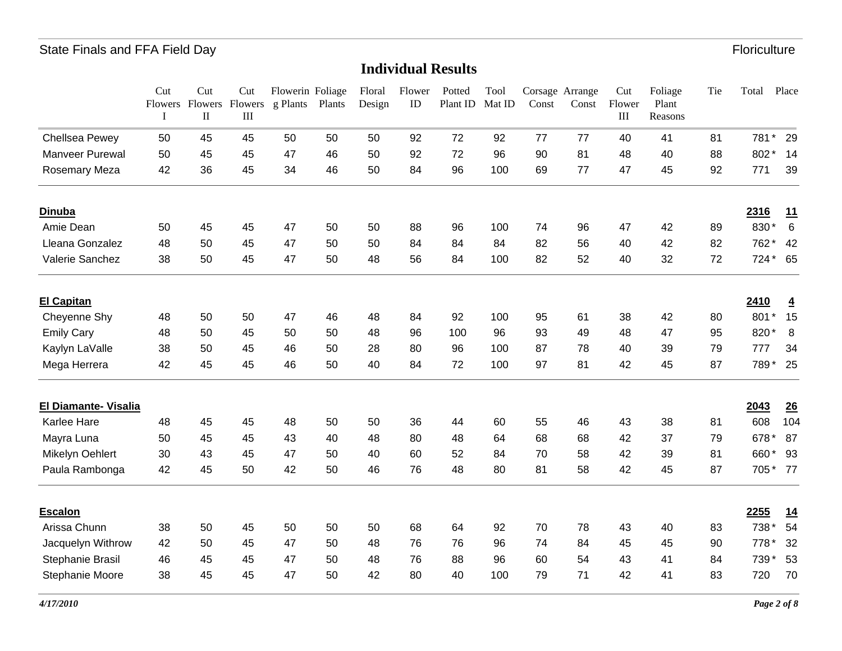|                             | Cut<br>$\bf{I}$ | Cut<br>$\rm II$ | Cut<br>Flowers Flowers Flowers<br>III | Flowerin Foliage<br>g Plants | Plants | Floral<br>Design | Flower<br>ID | Potted<br>Plant ID | Tool<br>Mat ID | Const | Corsage Arrange<br>Const | Cut<br>Flower<br>$\mathop{\rm III}$ | Foliage<br>Plant<br>Reasons | Tie | Total          | Place          |
|-----------------------------|-----------------|-----------------|---------------------------------------|------------------------------|--------|------------------|--------------|--------------------|----------------|-------|--------------------------|-------------------------------------|-----------------------------|-----|----------------|----------------|
| Chellsea Pewey              | 50              | 45              | 45                                    | 50                           | 50     | 50               | 92           | 72                 | 92             | 77    | 77                       | 40                                  | 41                          | 81  | 781<br>$\star$ | 29             |
| <b>Manveer Purewal</b>      | 50              | 45              | 45                                    | 47                           | 46     | 50               | 92           | 72                 | 96             | 90    | 81                       | 48                                  | 40                          | 88  | 802            | 14             |
| Rosemary Meza               | 42              | 36              | 45                                    | 34                           | 46     | 50               | 84           | 96                 | 100            | 69    | 77                       | 47                                  | 45                          | 92  | 771            | 39             |
| <b>Dinuba</b>               |                 |                 |                                       |                              |        |                  |              |                    |                |       |                          |                                     |                             |     | 2316           | <u>11</u>      |
| Amie Dean                   | 50              | 45              | 45                                    | 47                           | 50     | 50               | 88           | 96                 | 100            | 74    | 96                       | 47                                  | 42                          | 89  | 830*           | $6\phantom{1}$ |
| Lleana Gonzalez             | 48              | 50              | 45                                    | 47                           | 50     | 50               | 84           | 84                 | 84             | 82    | 56                       | 40                                  | 42                          | 82  | 762*           | 42             |
| Valerie Sanchez             | 38              | 50              | 45                                    | 47                           | 50     | 48               | 56           | 84                 | 100            | 82    | 52                       | 40                                  | 32                          | 72  | $724*$         | 65             |
| <b>El Capitan</b>           |                 |                 |                                       |                              |        |                  |              |                    |                |       |                          |                                     |                             |     | 2410           | 4              |
| Cheyenne Shy                | 48              | 50              | 50                                    | 47                           | 46     | 48               | 84           | 92                 | 100            | 95    | 61                       | 38                                  | 42                          | 80  | 801            | 15             |
| <b>Emily Cary</b>           | 48              | 50              | 45                                    | 50                           | 50     | 48               | 96           | 100                | 96             | 93    | 49                       | 48                                  | 47                          | 95  | 820            | 8              |
| Kaylyn LaValle              | 38              | 50              | 45                                    | 46                           | 50     | 28               | 80           | 96                 | 100            | 87    | 78                       | 40                                  | 39                          | 79  | 777            | 34             |
| Mega Herrera                | 42              | 45              | 45                                    | 46                           | 50     | 40               | 84           | 72                 | 100            | 97    | 81                       | 42                                  | 45                          | 87  | 789*           | 25             |
| <b>El Diamante- Visalia</b> |                 |                 |                                       |                              |        |                  |              |                    |                |       |                          |                                     |                             |     | 2043           | 26             |
| <b>Karlee Hare</b>          | 48              | 45              | 45                                    | 48                           | 50     | 50               | 36           | 44                 | 60             | 55    | 46                       | 43                                  | 38                          | 81  | 608            | 104            |
| Mayra Luna                  | 50              | 45              | 45                                    | 43                           | 40     | 48               | 80           | 48                 | 64             | 68    | 68                       | 42                                  | 37                          | 79  | 678*           | 87             |
| Mikelyn Oehlert             | 30              | 43              | 45                                    | 47                           | 50     | 40               | 60           | 52                 | 84             | 70    | 58                       | 42                                  | 39                          | 81  | 660            | 93             |
| Paula Rambonga              | 42              | 45              | 50                                    | 42                           | 50     | 46               | 76           | 48                 | 80             | 81    | 58                       | 42                                  | 45                          | 87  | 705*           | 77             |
| <b>Escalon</b>              |                 |                 |                                       |                              |        |                  |              |                    |                |       |                          |                                     |                             |     | 2255           | <u>14</u>      |
| Arissa Chunn                | 38              | 50              | 45                                    | 50                           | 50     | 50               | 68           | 64                 | 92             | 70    | 78                       | 43                                  | 40                          | 83  | 738            | 54             |
| Jacquelyn Withrow           | 42              | 50              | 45                                    | 47                           | 50     | 48               | 76           | 76                 | 96             | 74    | 84                       | 45                                  | 45                          | 90  | 778*           | 32             |
| Stephanie Brasil            | 46              | 45              | 45                                    | 47                           | 50     | 48               | 76           | 88                 | 96             | 60    | 54                       | 43                                  | 41                          | 84  | 739*           | 53             |
| Stephanie Moore             | 38              | 45              | 45                                    | 47                           | 50     | 42               | 80           | 40                 | 100            | 79    | 71                       | 42                                  | 41                          | 83  | 720            | 70             |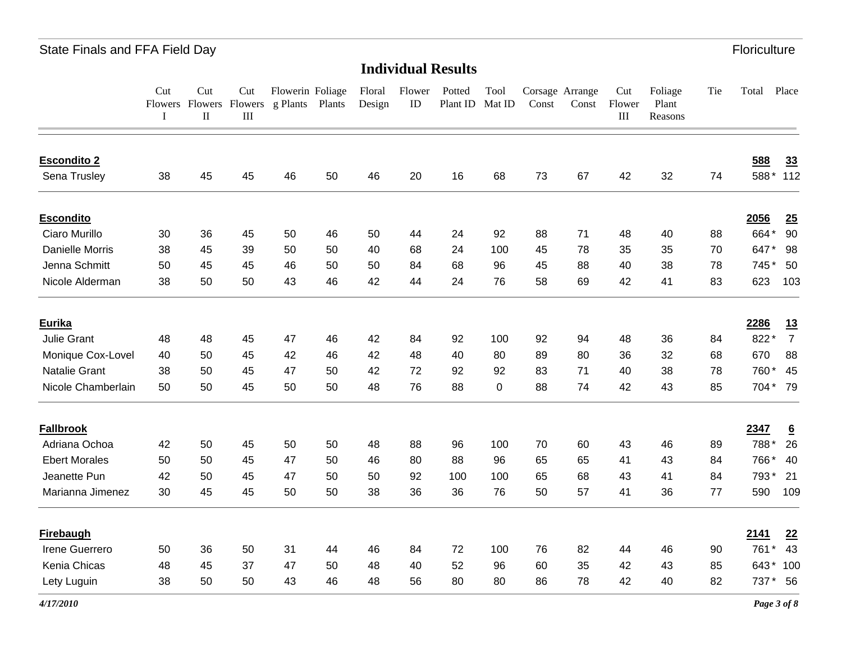**Individual Results**

|                        | Cut<br>I | Cut<br>$\rm II$ | Cut<br>$\rm III$ | Flowerin Foliage<br>Flowers Flowers Flowers g Plants Plants |    | Floral<br>Design | Flower<br>ID | Potted<br>Plant ID | Tool<br>Mat ID | Const | Corsage Arrange<br>Const | Cut<br>Flower<br>$\rm III$ | Foliage<br>Plant<br>Reasons | Tie | Total | Place           |
|------------------------|----------|-----------------|------------------|-------------------------------------------------------------|----|------------------|--------------|--------------------|----------------|-------|--------------------------|----------------------------|-----------------------------|-----|-------|-----------------|
| <b>Escondito 2</b>     |          |                 |                  |                                                             |    |                  |              |                    |                |       |                          |                            |                             |     | 588   | 33              |
| Sena Trusley           | 38       | 45              | 45               | 46                                                          | 50 | 46               | 20           | 16                 | 68             | 73    | 67                       | 42                         | 32                          | 74  | 588*  | 112             |
| <b>Escondito</b>       |          |                 |                  |                                                             |    |                  |              |                    |                |       |                          |                            |                             |     | 2056  | 25              |
| Ciaro Murillo          | 30       | 36              | 45               | 50                                                          | 46 | 50               | 44           | 24                 | 92             | 88    | 71                       | 48                         | 40                          | 88  | 664*  | 90              |
| <b>Danielle Morris</b> | 38       | 45              | 39               | 50                                                          | 50 | 40               | 68           | 24                 | 100            | 45    | 78                       | 35                         | 35                          | 70  | 647*  | 98              |
| Jenna Schmitt          | 50       | 45              | 45               | 46                                                          | 50 | 50               | 84           | 68                 | 96             | 45    | 88                       | 40                         | 38                          | 78  | 745*  | 50              |
| Nicole Alderman        | 38       | 50              | 50               | 43                                                          | 46 | 42               | 44           | 24                 | 76             | 58    | 69                       | 42                         | 41                          | 83  | 623   | 103             |
| Eurika                 |          |                 |                  |                                                             |    |                  |              |                    |                |       |                          |                            |                             |     | 2286  | 13              |
| Julie Grant            | 48       | 48              | 45               | 47                                                          | 46 | 42               | 84           | 92                 | 100            | 92    | 94                       | 48                         | 36                          | 84  | 822*  | $\overline{7}$  |
| Monique Cox-Lovel      | 40       | 50              | 45               | 42                                                          | 46 | 42               | 48           | 40                 | 80             | 89    | 80                       | 36                         | 32                          | 68  | 670   | 88              |
| Natalie Grant          | 38       | 50              | 45               | 47                                                          | 50 | 42               | 72           | 92                 | 92             | 83    | 71                       | 40                         | 38                          | 78  | 760   | 45              |
| Nicole Chamberlain     | 50       | 50              | 45               | 50                                                          | 50 | 48               | 76           | 88                 | 0              | 88    | 74                       | 42                         | 43                          | 85  |       | 704* 79         |
| <b>Fallbrook</b>       |          |                 |                  |                                                             |    |                  |              |                    |                |       |                          |                            |                             |     | 2347  | $\underline{6}$ |
| Adriana Ochoa          | 42       | 50              | 45               | 50                                                          | 50 | 48               | 88           | 96                 | 100            | 70    | 60                       | 43                         | 46                          | 89  | 788*  | 26              |
| <b>Ebert Morales</b>   | 50       | 50              | 45               | 47                                                          | 50 | 46               | 80           | 88                 | 96             | 65    | 65                       | 41                         | 43                          | 84  | 766*  | 40              |
| Jeanette Pun           | 42       | 50              | 45               | 47                                                          | 50 | 50               | 92           | 100                | 100            | 65    | 68                       | 43                         | 41                          | 84  | 793*  | 21              |
| Marianna Jimenez       | 30       | 45              | 45               | 50                                                          | 50 | 38               | 36           | 36                 | 76             | 50    | 57                       | 41                         | 36                          | 77  | 590   | 109             |
| <b>Firebaugh</b>       |          |                 |                  |                                                             |    |                  |              |                    |                |       |                          |                            |                             |     | 2141  | 22              |
| Irene Guerrero         | 50       | 36              | 50               | 31                                                          | 44 | 46               | 84           | 72                 | 100            | 76    | 82                       | 44                         | 46                          | 90  | 761   | 43              |
| Kenia Chicas           | 48       | 45              | 37               | 47                                                          | 50 | 48               | 40           | 52                 | 96             | 60    | 35                       | 42                         | 43                          | 85  | 643*  | 100             |
| Lety Luguin            | 38       | 50              | 50               | 43                                                          | 46 | 48               | 56           | 80                 | 80             | 86    | 78                       | 42                         | 40                          | 82  | 737*  | 56              |

*4/17/2010*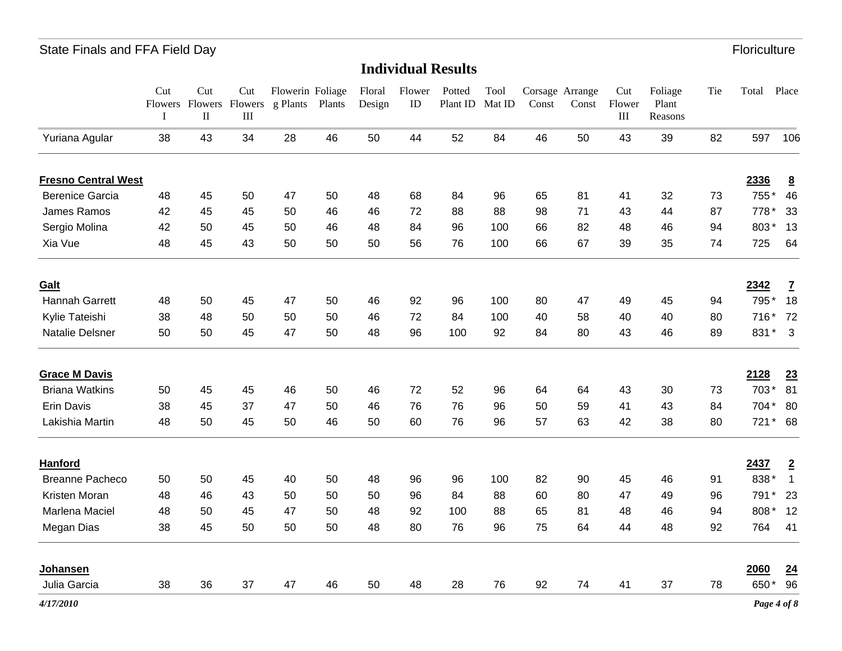|                            | Cut<br>Flowers<br>I | Cut<br>$\rm II$ | Cut<br>Flowers Flowers<br>III | Flowerin Foliage<br>g Plants | Plants | Floral<br>Design | Flower<br>ID | Potted<br>Plant ID | Tool<br>Mat ID | $\mathop{\mathsf{Const}}$ | Corsage Arrange<br>Const | Cut<br>Flower<br>$\rm III$ | Foliage<br>Plant<br>Reasons | Tie | Total       | Place                   |
|----------------------------|---------------------|-----------------|-------------------------------|------------------------------|--------|------------------|--------------|--------------------|----------------|---------------------------|--------------------------|----------------------------|-----------------------------|-----|-------------|-------------------------|
| Yuriana Agular             | 38                  | 43              | 34                            | 28                           | 46     | 50               | 44           | 52                 | 84             | 46                        | 50                       | 43                         | 39                          | 82  | 597         | 106                     |
| <b>Fresno Central West</b> |                     |                 |                               |                              |        |                  |              |                    |                |                           |                          |                            |                             |     | 2336        | $\underline{8}$         |
| <b>Berenice Garcia</b>     | 48                  | 45              | 50                            | 47                           | 50     | 48               | 68           | 84                 | 96             | 65                        | 81                       | 41                         | 32                          | 73  | 755*        | 46                      |
| James Ramos                | 42                  | 45              | 45                            | 50                           | 46     | 46               | 72           | 88                 | 88             | 98                        | 71                       | 43                         | 44                          | 87  | 778*        | 33                      |
| Sergio Molina              | 42                  | 50              | 45                            | 50                           | 46     | 48               | 84           | 96                 | 100            | 66                        | 82                       | 48                         | 46                          | 94  | 803*        | 13                      |
| Xia Vue                    | 48                  | 45              | 43                            | 50                           | 50     | 50               | 56           | 76                 | 100            | 66                        | 67                       | 39                         | 35                          | 74  | 725         | 64                      |
| Galt                       |                     |                 |                               |                              |        |                  |              |                    |                |                           |                          |                            |                             |     | 2342        | $\mathbf{Z}$            |
| Hannah Garrett             | 48                  | 50              | 45                            | 47                           | 50     | 46               | 92           | 96                 | 100            | 80                        | 47                       | 49                         | 45                          | 94  | 795*        | 18                      |
| Kylie Tateishi             | 38                  | 48              | 50                            | 50                           | 50     | 46               | 72           | 84                 | 100            | 40                        | 58                       | 40                         | 40                          | 80  | 716*        | 72                      |
| Natalie Delsner            | 50                  | 50              | 45                            | 47                           | 50     | 48               | 96           | 100                | 92             | 84                        | 80                       | 43                         | 46                          | 89  | 831*        | $\mathbf{3}$            |
| <b>Grace M Davis</b>       |                     |                 |                               |                              |        |                  |              |                    |                |                           |                          |                            |                             |     | 2128        | 23                      |
| <b>Briana Watkins</b>      | 50                  | 45              | 45                            | 46                           | 50     | 46               | 72           | 52                 | 96             | 64                        | 64                       | 43                         | 30                          | 73  | 703*        | 81                      |
| Erin Davis                 | 38                  | 45              | 37                            | 47                           | 50     | 46               | 76           | 76                 | 96             | 50                        | 59                       | 41                         | 43                          | 84  | 704*        | 80                      |
| Lakishia Martin            | 48                  | 50              | 45                            | 50                           | 46     | 50               | 60           | 76                 | 96             | 57                        | 63                       | 42                         | 38                          | 80  | 721         | $*$ 68                  |
| Hanford                    |                     |                 |                               |                              |        |                  |              |                    |                |                           |                          |                            |                             |     | 2437        | $\overline{\mathbf{2}}$ |
| <b>Breanne Pacheco</b>     | 50                  | 50              | 45                            | 40                           | 50     | 48               | 96           | 96                 | 100            | 82                        | 90                       | 45                         | 46                          | 91  | 838*        | $\mathbf{1}$            |
| Kristen Moran              | 48                  | 46              | 43                            | 50                           | 50     | 50               | 96           | 84                 | 88             | 60                        | 80                       | 47                         | 49                          | 96  | 791         | 23                      |
| Marlena Maciel             | 48                  | 50              | 45                            | 47                           | 50     | 48               | 92           | 100                | 88             | 65                        | 81                       | 48                         | 46                          | 94  | 808*        | 12                      |
| Megan Dias                 | 38                  | 45              | 50                            | 50                           | 50     | 48               | 80           | 76                 | 96             | 75                        | 64                       | 44                         | 48                          | 92  | 764         | 41                      |
| Johansen                   |                     |                 |                               |                              |        |                  |              |                    |                |                           |                          |                            |                             |     | 2060        | 24                      |
| Julia Garcia               | 38                  | 36              | 37                            | 47                           | 46     | 50               | 48           | 28                 | 76             | 92                        | 74                       | 41                         | 37                          | 78  | 650*        | 96                      |
| 4/17/2010                  |                     |                 |                               |                              |        |                  |              |                    |                |                           |                          |                            |                             |     | Page 4 of 8 |                         |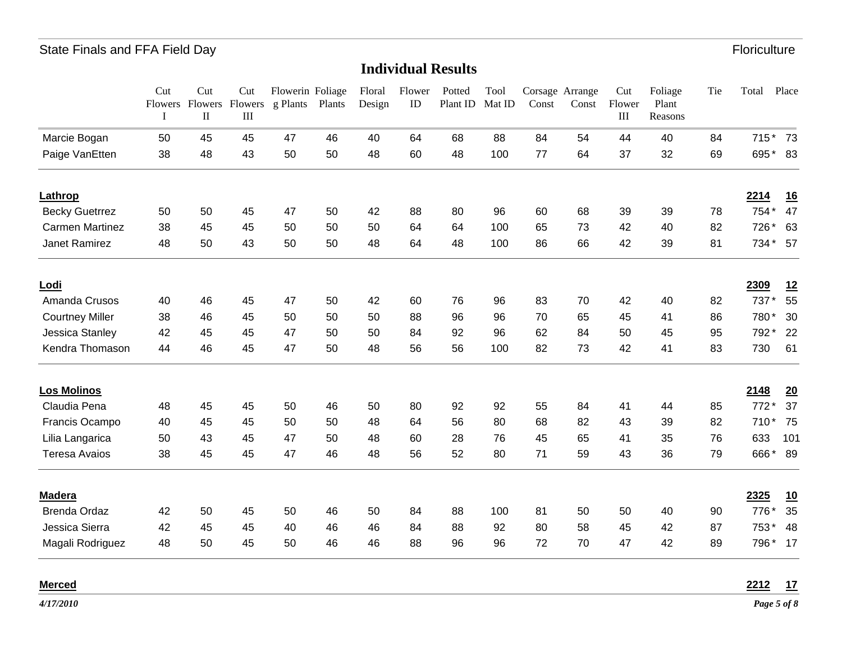#### **Individual Results**

|                        | Cut<br>I | Cut<br>$\rm II$ | Cut<br>Flowers Flowers Flowers<br>$\mathop{\rm III}$ | Flowerin Foliage<br>g Plants Plants |    | Floral<br>Design | Flower<br>ID | Potted<br>Plant ID | Tool<br>Mat ID | Const | Corsage Arrange<br>Const | Cut<br>Flower<br>$\rm III$ | Foliage<br>Plant<br>Reasons | Tie | Total  | Place     |
|------------------------|----------|-----------------|------------------------------------------------------|-------------------------------------|----|------------------|--------------|--------------------|----------------|-------|--------------------------|----------------------------|-----------------------------|-----|--------|-----------|
| Marcie Bogan           | 50       | 45              | 45                                                   | 47                                  | 46 | 40               | 64           | 68                 | 88             | 84    | 54                       | 44                         | 40                          | 84  | $715*$ | 73        |
| Paige VanEtten         | 38       | 48              | 43                                                   | 50                                  | 50 | 48               | 60           | 48                 | 100            | 77    | 64                       | 37                         | 32                          | 69  | 695*   | 83        |
| Lathrop                |          |                 |                                                      |                                     |    |                  |              |                    |                |       |                          |                            |                             |     | 2214   | <u>16</u> |
| <b>Becky Guetrrez</b>  | 50       | 50              | 45                                                   | 47                                  | 50 | 42               | 88           | 80                 | 96             | 60    | 68                       | 39                         | 39                          | 78  | 754*   | 47        |
| <b>Carmen Martinez</b> | 38       | 45              | 45                                                   | 50                                  | 50 | 50               | 64           | 64                 | 100            | 65    | 73                       | 42                         | 40                          | 82  | 726*   | 63        |
| Janet Ramirez          | 48       | 50              | 43                                                   | 50                                  | 50 | 48               | 64           | 48                 | 100            | 86    | 66                       | 42                         | 39                          | 81  | 734*   | 57        |
| Lodi                   |          |                 |                                                      |                                     |    |                  |              |                    |                |       |                          |                            |                             |     | 2309   | 12        |
| Amanda Crusos          | 40       | 46              | 45                                                   | 47                                  | 50 | 42               | 60           | 76                 | 96             | 83    | 70                       | 42                         | 40                          | 82  | 737*   | 55        |
| <b>Courtney Miller</b> | 38       | 46              | 45                                                   | 50                                  | 50 | 50               | 88           | 96                 | 96             | 70    | 65                       | 45                         | 41                          | 86  | 780*   | 30        |
| Jessica Stanley        | 42       | 45              | 45                                                   | 47                                  | 50 | 50               | 84           | 92                 | 96             | 62    | 84                       | 50                         | 45                          | 95  | 792*   | 22        |
| Kendra Thomason        | 44       | 46              | 45                                                   | 47                                  | 50 | 48               | 56           | 56                 | 100            | 82    | 73                       | 42                         | 41                          | 83  | 730    | 61        |
| <b>Los Molinos</b>     |          |                 |                                                      |                                     |    |                  |              |                    |                |       |                          |                            |                             |     | 2148   | 20        |
| Claudia Pena           | 48       | 45              | 45                                                   | 50                                  | 46 | 50               | 80           | 92                 | 92             | 55    | 84                       | 41                         | 44                          | 85  | 772*   | 37        |
| Francis Ocampo         | 40       | 45              | 45                                                   | 50                                  | 50 | 48               | 64           | 56                 | 80             | 68    | 82                       | 43                         | 39                          | 82  | 710*   | 75        |
| Lilia Langarica        | 50       | 43              | 45                                                   | 47                                  | 50 | 48               | 60           | 28                 | 76             | 45    | 65                       | 41                         | 35                          | 76  | 633    | 101       |
| <b>Teresa Avaios</b>   | 38       | 45              | 45                                                   | 47                                  | 46 | 48               | 56           | 52                 | 80             | 71    | 59                       | 43                         | 36                          | 79  | 666*   | 89        |
| <b>Madera</b>          |          |                 |                                                      |                                     |    |                  |              |                    |                |       |                          |                            |                             |     | 2325   | 10        |
| <b>Brenda Ordaz</b>    | 42       | 50              | 45                                                   | 50                                  | 46 | 50               | 84           | 88                 | 100            | 81    | 50                       | 50                         | 40                          | 90  | 776*   | 35        |
| Jessica Sierra         | 42       | 45              | 45                                                   | 40                                  | 46 | 46               | 84           | 88                 | 92             | 80    | 58                       | 45                         | 42                          | 87  | 753*   | 48        |
| Magali Rodriguez       | 48       | 50              | 45                                                   | 50                                  | 46 | 46               | 88           | 96                 | 96             | 72    | 70                       | 47                         | 42                          | 89  | 796*   | 17        |
| <b>Merced</b>          |          |                 |                                                      |                                     |    |                  |              |                    |                |       |                          |                            |                             |     | 2212   | 17        |

*4/17/2010*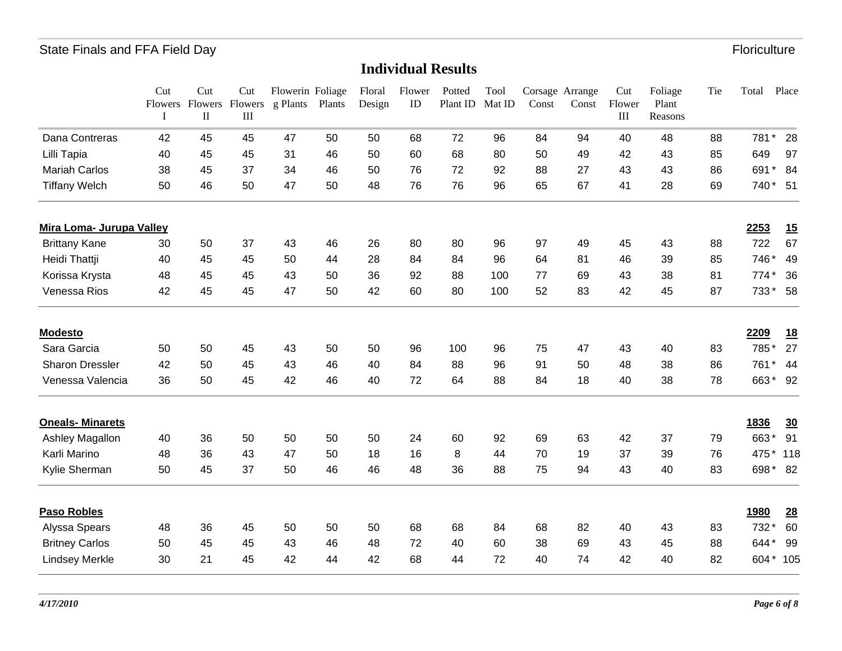|                          | Cut<br>I | Cut<br>$\rm II$ | Cut<br>Flowers Flowers Flowers<br>III | Flowerin Foliage<br>g Plants | Plants | Floral<br>Design | Flower<br>ID | Potted<br>Plant ID | Tool<br>Mat ID | Const | Corsage Arrange<br>Const | Cut<br>Flower<br>$\rm III$ | Foliage<br>Plant<br>Reasons | Tie | Total  | Place          |
|--------------------------|----------|-----------------|---------------------------------------|------------------------------|--------|------------------|--------------|--------------------|----------------|-------|--------------------------|----------------------------|-----------------------------|-----|--------|----------------|
| Dana Contreras           | 42       | 45              | 45                                    | 47                           | 50     | 50               | 68           | 72                 | 96             | 84    | 94                       | 40                         | 48                          | 88  | 781*   | 28             |
| Lilli Tapia              | 40       | 45              | 45                                    | 31                           | 46     | 50               | 60           | 68                 | 80             | 50    | 49                       | 42                         | 43                          | 85  | 649    | 97             |
| <b>Mariah Carlos</b>     | 38       | 45              | 37                                    | 34                           | 46     | 50               | 76           | 72                 | 92             | 88    | 27                       | 43                         | 43                          | 86  | 691    | 84<br>*        |
| <b>Tiffany Welch</b>     | 50       | 46              | 50                                    | 47                           | 50     | 48               | 76           | 76                 | 96             | 65    | 67                       | 41                         | 28                          | 69  | 740*   | 51             |
| Mira Loma- Jurupa Valley |          |                 |                                       |                              |        |                  |              |                    |                |       |                          |                            |                             |     | 2253   | 15             |
| <b>Brittany Kane</b>     | 30       | 50              | 37                                    | 43                           | 46     | 26               | 80           | 80                 | 96             | 97    | 49                       | 45                         | 43                          | 88  | 722    | 67             |
| Heidi Thattji            | 40       | 45              | 45                                    | 50                           | 44     | 28               | 84           | 84                 | 96             | 64    | 81                       | 46                         | 39                          | 85  | 746*   | 49             |
| Korissa Krysta           | 48       | 45              | 45                                    | 43                           | 50     | 36               | 92           | 88                 | 100            | 77    | 69                       | 43                         | 38                          | 81  | $774*$ | 36             |
| Venessa Rios             | 42       | 45              | 45                                    | 47                           | 50     | 42               | 60           | 80                 | 100            | 52    | 83                       | 42                         | 45                          | 87  | 733*   | 58             |
| <b>Modesto</b>           |          |                 |                                       |                              |        |                  |              |                    |                |       |                          |                            |                             |     | 2209   | <u>18</u>      |
| Sara Garcia              | 50       | 50              | 45                                    | 43                           | 50     | 50               | 96           | 100                | 96             | 75    | 47                       | 43                         | 40                          | 83  | 785*   | 27             |
| Sharon Dressler          | 42       | 50              | 45                                    | 43                           | 46     | 40               | 84           | 88                 | 96             | 91    | 50                       | 48                         | 38                          | 86  | 761    | 44             |
| Venessa Valencia         | 36       | 50              | 45                                    | 42                           | 46     | 40               | 72           | 64                 | 88             | 84    | 18                       | 40                         | 38                          | 78  | 663*   | 92             |
| <b>Oneals-Minarets</b>   |          |                 |                                       |                              |        |                  |              |                    |                |       |                          |                            |                             |     | 1836   | $\frac{30}{2}$ |
| Ashley Magallon          | 40       | 36              | 50                                    | 50                           | 50     | 50               | 24           | 60                 | 92             | 69    | 63                       | 42                         | 37                          | 79  | 663*   | 91             |
| Karli Marino             | 48       | 36              | 43                                    | 47                           | 50     | 18               | 16           | 8                  | 44             | 70    | 19                       | 37                         | 39                          | 76  | 475*   | 118            |
| Kylie Sherman            | 50       | 45              | 37                                    | 50                           | 46     | 46               | 48           | 36                 | 88             | 75    | 94                       | 43                         | 40                          | 83  | 698*   | 82             |
| <b>Paso Robles</b>       |          |                 |                                       |                              |        |                  |              |                    |                |       |                          |                            |                             |     | 1980   | 28             |
| Alyssa Spears            | 48       | 36              | 45                                    | 50                           | 50     | 50               | 68           | 68                 | 84             | 68    | 82                       | 40                         | 43                          | 83  | 732*   | 60             |
| <b>Britney Carlos</b>    | 50       | 45              | 45                                    | 43                           | 46     | 48               | 72           | 40                 | 60             | 38    | 69                       | 43                         | 45                          | 88  | 644*   | 99             |
| <b>Lindsey Merkle</b>    | 30       | 21              | 45                                    | 42                           | 44     | 42               | 68           | 44                 | 72             | 40    | 74                       | 42                         | 40                          | 82  | 604*   | 105            |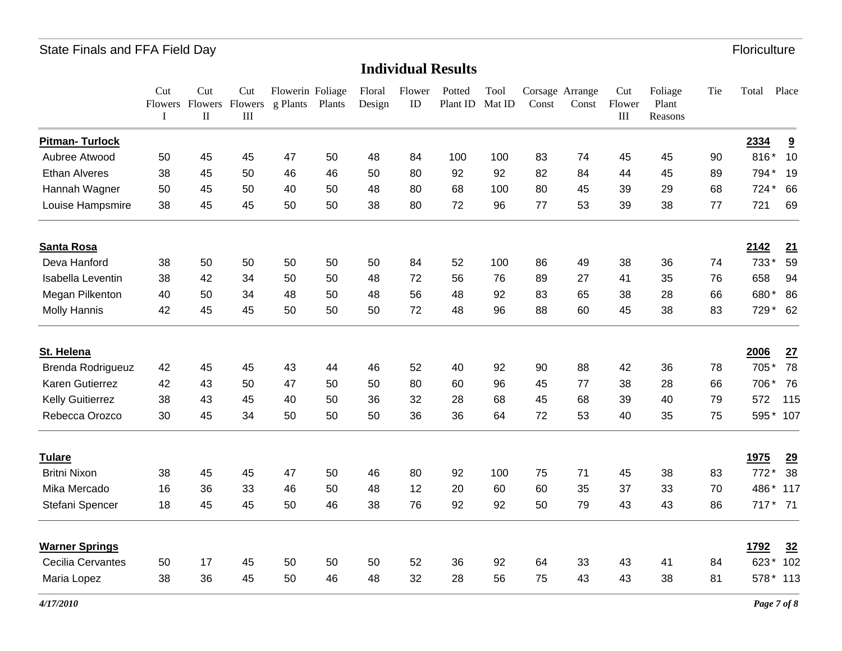|                          | Cut<br>I | Cut<br>$\rm II$ | Cut<br>III | Flowerin Foliage<br>Flowers Flowers g Plants | Plants | Floral<br>Design | Flower<br>ID | Potted<br>Plant ID | Tool<br>Mat ID | Const | Corsage Arrange<br>Const | Cut<br>Flower<br>$\rm III$ | Foliage<br>Plant<br>Reasons | Tie | Total       | Place                   |
|--------------------------|----------|-----------------|------------|----------------------------------------------|--------|------------------|--------------|--------------------|----------------|-------|--------------------------|----------------------------|-----------------------------|-----|-------------|-------------------------|
| <b>Pitman-Turlock</b>    |          |                 |            |                                              |        |                  |              |                    |                |       |                          |                            |                             |     | 2334        | $\overline{\mathbf{a}}$ |
| Aubree Atwood            | 50       | 45              | 45         | 47                                           | 50     | 48               | 84           | 100                | 100            | 83    | 74                       | 45                         | 45                          | 90  | 816*        | 10                      |
| <b>Ethan Alveres</b>     | 38       | 45              | 50         | 46                                           | 46     | 50               | 80           | 92                 | 92             | 82    | 84                       | 44                         | 45                          | 89  | 794*        | 19                      |
| Hannah Wagner            | 50       | 45              | 50         | 40                                           | 50     | 48               | 80           | 68                 | 100            | 80    | 45                       | 39                         | 29                          | 68  | 724*        | 66                      |
| Louise Hampsmire         | 38       | 45              | 45         | 50                                           | 50     | 38               | 80           | 72                 | 96             | 77    | 53                       | 39                         | 38                          | 77  | 721         | 69                      |
| Santa Rosa               |          |                 |            |                                              |        |                  |              |                    |                |       |                          |                            |                             |     | 2142        | 21                      |
| Deva Hanford             | 38       | 50              | 50         | 50                                           | 50     | 50               | 84           | 52                 | 100            | 86    | 49                       | 38                         | 36                          | 74  | 733*        | 59                      |
| Isabella Leventin        | 38       | 42              | 34         | 50                                           | 50     | 48               | 72           | 56                 | 76             | 89    | 27                       | 41                         | 35                          | 76  | 658         | 94                      |
| Megan Pilkenton          | 40       | 50              | 34         | 48                                           | 50     | 48               | 56           | 48                 | 92             | 83    | 65                       | 38                         | 28                          | 66  | 680*        | 86                      |
| <b>Molly Hannis</b>      | 42       | 45              | 45         | 50                                           | 50     | 50               | 72           | 48                 | 96             | 88    | 60                       | 45                         | 38                          | 83  | 729*        | 62                      |
| St. Helena               |          |                 |            |                                              |        |                  |              |                    |                |       |                          |                            |                             |     | 2006        | 27                      |
| Brenda Rodrigueuz        | 42       | 45              | 45         | 43                                           | 44     | 46               | 52           | 40                 | 92             | 90    | 88                       | 42                         | 36                          | 78  | 705*        | 78                      |
| Karen Gutierrez          | 42       | 43              | 50         | 47                                           | 50     | 50               | 80           | 60                 | 96             | 45    | 77                       | 38                         | 28                          | 66  | 706         | 76                      |
| Kelly Guitierrez         | 38       | 43              | 45         | 40                                           | 50     | 36               | 32           | 28                 | 68             | 45    | 68                       | 39                         | 40                          | 79  | 572         | 115                     |
| Rebecca Orozco           | 30       | 45              | 34         | 50                                           | 50     | 50               | 36           | 36                 | 64             | 72    | 53                       | 40                         | 35                          | 75  | 595*        | 107                     |
| <b>Tulare</b>            |          |                 |            |                                              |        |                  |              |                    |                |       |                          |                            |                             |     | <u>1975</u> | 29                      |
| <b>Britni Nixon</b>      | 38       | 45              | 45         | 47                                           | 50     | 46               | 80           | 92                 | 100            | 75    | 71                       | 45                         | 38                          | 83  | 772*        | 38                      |
| Mika Mercado             | 16       | 36              | 33         | 46                                           | 50     | 48               | 12           | 20                 | 60             | 60    | 35                       | 37                         | 33                          | 70  | 486*        | 117                     |
| Stefani Spencer          | 18       | 45              | 45         | 50                                           | 46     | 38               | 76           | 92                 | 92             | 50    | 79                       | 43                         | 43                          | 86  | 717 * 71    |                         |
| <b>Warner Springs</b>    |          |                 |            |                                              |        |                  |              |                    |                |       |                          |                            |                             |     | 1792        | 32                      |
| <b>Cecilia Cervantes</b> | 50       | 17              | 45         | 50                                           | 50     | 50               | 52           | 36                 | 92             | 64    | 33                       | 43                         | 41                          | 84  | 623*        | 102                     |
| Maria Lopez              | 38       | 36              | 45         | 50                                           | 46     | 48               | 32           | 28                 | 56             | 75    | 43                       | 43                         | 38                          | 81  | 578*        | 113                     |